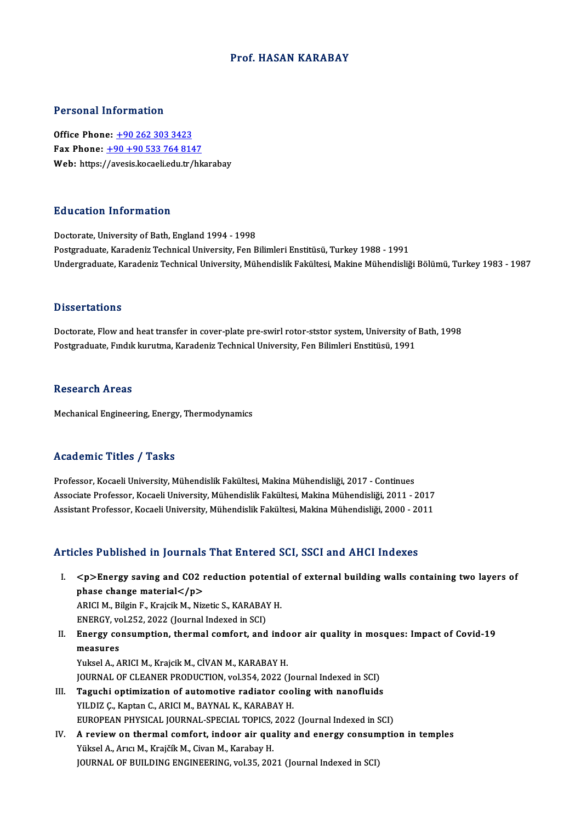### Prof.HASAN KARABAY

### Personal Information

Office Phone: +90 262 303 3423 Fax Phone:  $\frac{+90+905337648147}{ }$ Web: https:/[/avesis.kocaeli.edu.tr/hk](tel:+90 +90 533 764 8147)arabay

### Education Information

Doctorate, University of Bath, England 1994 - 1998 Postgraduate, Karadeniz Technical University, Fen Bilimleri Enstitüsü, Turkey 1988 - 1991 Undergraduate, Karadeniz Technical University, Mühendislik Fakültesi, Makine Mühendisliği Bölümü, Turkey 1983 - 1987

### **Dissertations**

Doctorate, Flow and heat transfer in cover-plate pre-swirl rotor-ststor system, University of Bath, 1998 Postgraduate, Fındık kurutma, Karadeniz Technical University, Fen Bilimleri Enstitüsü, 1991

### **Research Areas**

Mechanical Engineering, Energy, Thermodynamics

### Academic Titles / Tasks

Professor, Kocaeli University, Mühendislik Fakültesi, Makina Mühendisliği, 2017 - Continues Associate Articus 7 - 1 1911<br>Professor, Kocaeli University, Mühendislik Fakültesi, Makina Mühendisliği, 2017 - Continues<br>Associate Professor, Kocaeli University, Mühendislik Fakültesi, Makina Mühendisliği, 2011 - 2017<br>Assi Professor, Kocaeli University, Mühendislik Fakültesi, Makina Mühendisliği, 2017 - Continues<br>Associate Professor, Kocaeli University, Mühendislik Fakültesi, Makina Mühendisliği, 2011 - 2017<br>Assistant Professor, Kocaeli Univ Assistant Professor, Kocaeli University, Mühendislik Fakültesi, Makina Mühendisliği, 2000 - 2011<br>Articles Published in Journals That Entered SCI, SSCI and AHCI Indexes

rticles Published in Journals That Entered SCI, SSCI and AHCI Indexes<br>I. <p>Energy saving and CO2 reduction potential of external building walls containing two layers of  $p >$ Energy saving and CO2 r<br>phase change material  $p >$ <br> $p$  and  $p$  is the same material  $p$ <p>Energy saving and CO2 reduction potenti;<br>phase change material</p><br>ARICI M., Bilgin F., Krajcik M., Nizetic S., KARABAY H.<br>ENEPCY vol 252, 2022 (Journal Indoved in SCI) phase change material</p><br>ARICI M., Bilgin F., Krajcik M., Nizetic S., KARABAY H.<br>ENERGY, vol.252, 2022 (Journal Indexed in SCI)

- ARICI M., Bilgin F., Krajcik M., Nizetic S., KARABAY H.<br>ENERGY, vol.252, 2022 (Journal Indexed in SCI)<br>II. Energy consumption, thermal comfort, and indoor air quality in mosques: Impact of Covid-19<br>mosques: ENERGY, vo<br>Energy co<br>measures<br>Vulgel A. A Energy consumption, thermal comfort, and indo<br>measures<br>Yuksel A., ARICI M., Krajcik M., CİVAN M., KARABAY H.<br>JOUPMAL OE CLEANER PRODUCTION, Yal254, 2022 () measures<br>Yuksel A., ARICI M., Krajcik M., CİVAN M., KARABAY H.<br>JOURNAL OF CLEANER PRODUCTION, vol.354, 2022 (Journal Indexed in SCI)<br>Tegushi ontimization of autometive radiator sooling with nanofluide
- Yuksel A., ARICI M., Krajcik M., CİVAN M., KARABAY H.<br>JOURNAL OF CLEANER PRODUCTION, vol.354, 2022 (Journal Indexed in SCI)<br>III. Taguchi optimization of automotive radiator cooling with nanofluids<br>YILDIZ C., Kaptan C., JOURNAL OF CLEANER PRODUCTION, vol.354, 2022 (Jo<br>Taguchi optimization of automotive radiator coo<br>YILDIZ Ç., Kaptan C., ARICI M., BAYNAL K., KARABAY H.<br>FUROPEAN PHYSICAL JOUPNAL SPECIAL TOPICS 2022 Taguchi optimization of automotive radiator cooling with nanofluids<br>YILDIZ Ç., Kaptan C., ARICI M., BAYNAL K., KARABAY H.<br>EUROPEAN PHYSICAL JOURNAL-SPECIAL TOPICS, 2022 (Journal Indexed in SCI)<br>A noview on thermal comfont,
- IV. A review on thermal comfort, indoor air quality and energy consumption in temples<br>Yüksel A., Arıcı M., Krajčík M., Civan M., Karabay H. EUROPEAN PHYSICAL JOURNAL-SPECIAL TOPICS,<br>A review on thermal comfort, indoor air qua<br>Yüksel A., Arıcı M., Krajčík M., Civan M., Karabay H.<br>JOUPNAL OF PUU DING ENGINEERING xpl 25, 202 JOURNAL OF BUILDING ENGINEERING, vol.35, 2021 (Journal Indexed in SCI)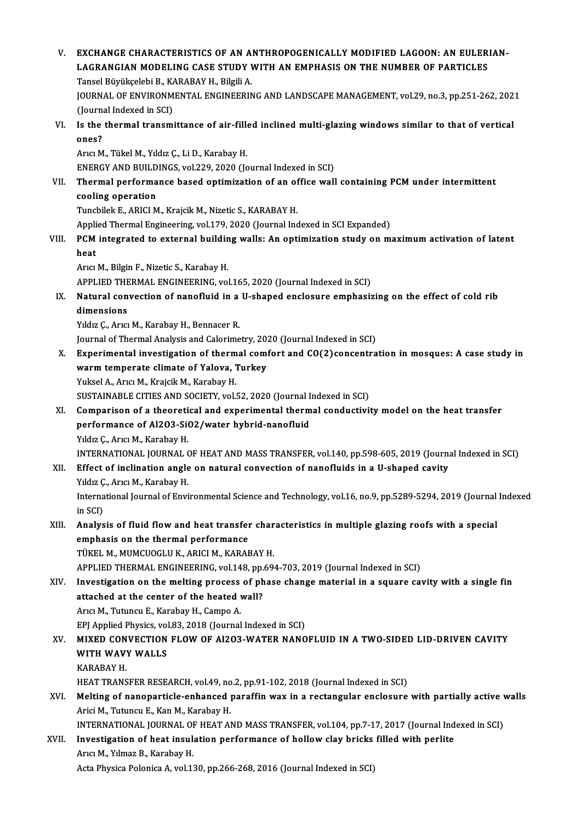V. EXCHANGE CHARACTERISTICS OF AN ANTHROPOGENICALLYMODIFIED LAGOON: AN EULERIAN-EXCHANGE CHARACTERISTICS OF AN ANTHROPOGENICALLY MODIFIED LAGOON: AN EULERI<br>LAGRANGIAN MODELING CASE STUDY WITH AN EMPHASIS ON THE NUMBER OF PARTICLES<br>Tangel Büyükçeleki B. KARARAY H. Bilgili A EXCHANGE CHARACTERISTICS OF AN A<br>LAGRANGIAN MODELING CASE STUDY V<br>Tansel Büyükçelebi B., KARABAY H., Bilgili A.<br>JOUPNAL OF ENVUDONMENTAL ENCINEEPIN JOURNAL OF ENVIRONMENTAL ENGINEERING AND LANDSCAPE MANAGEMENT, vol.29, no.3, pp.251-262, 2021 Tansel Büyükçelebi B., KARABAY H., Bilgili A. JOURNAL OF ENVIRONMENTAL ENGINEERING AND LANDSCAPE MANAGEMENT, vol.29, no.3, pp.251-262, 202<br>(Journal Indexed in SCI)<br>VI. Is the thermal transmittance of air-filled inclined multi-glazing windows similar to that of vertica (Journal Indexed in SCI)<br>Is the thermal transmittance of air-fill<br>ones?<br>Arıcı M., Tükel M., Yıldız Ç., Li D., Karabay H. Is the thermal transmittance of air-fille<br>ones?<br>Arıcı M., Tükel M., Yıldız Ç., Li D., Karabay H.<br>ENEPCY AND PHILDINCS .val 229, 2020 (Jo ENERGY AND BUILDINGS, vol.229, 2020 (Journal Indexed in SCI) Arıcı M., Tükel M., Yıldız Ç., Li D., Karabay H.<br>ENERGY AND BUILDINGS, vol.229, 2020 (Journal Indexed in SCI)<br>VII. Thermal performance based optimization of an office wall containing PCM under intermittent<br>cooling oper ENERGY AND BUILD<br>Thermal performa<br>cooling operation<br>Tungbilek E ABICLM Thermal performance based optimization of an of<br>cooling operation<br>Tuncbilek E., ARICI M., Krajcik M., Nizetic S., KARABAY H.<br>Applied Thermal Engineering vol 179, 2020 (Journal Inc cooling operation<br>Tuncbilek E., ARICI M., Krajcik M., Nizetic S., KARABAY H.<br>Applied Thermal Engineering, vol.179, 2020 (Journal Indexed in SCI Expanded) Tuncbilek E., ARICI M., Krajcik M., Nizetic S., KARABAY H.<br>Applied Thermal Engineering, vol.179, 2020 (Journal Indexed in SCI Expanded)<br>VIII. PCM integrated to external building walls: An optimization study on maximum acti Appli<br>PCM<br>heat heat<br>Arıcı M., Bilgin F., Nizetic S., Karabay H. heat<br>Arıcı M., Bilgin F., Nizetic S., Karabay H.<br>APPLIED THERMAL ENGINEERING, vol.165, 2020 (Journal Indexed in SCI)<br>Natural convection of nanofluid in a U shanod enclosure emphasis IX. Natural convection of nanofluid in a U-shaped enclosure emphasizing on the effect of cold rib **APPLIED THE<br>Natural con<br>dimensions** Yıldız Ç., Arıcı M., Karabay H., Bennacer R. Journal of Thermal Analysis and Calorimetry, 2020 (Journal Indexed in SCI) X. Experimental investigation of thermal comfort and CO(2)concentration inmosques: A case study in Journal of Thermal Analysis and Calorimetry, 20.<br>Experimental investigation of thermal com<br>warm temperate climate of Yalova, Turkey<br>Yuksel A. Arisi M. Kraisik M. Karabay H. Experimental investigation of therm<br>warm temperate climate of Yalova, 1<br>Yuksel A., Arıcı M., Krajcik M., Karabay H.<br>SUSTAINARLE CITIES AND SOCIETY vall warm temperate climate of Yalova, Turkey<br>Yuksel A., Arıcı M., Krajcik M., Karabay H.<br>SUSTAINABLE CITIES AND SOCIETY, vol.52, 2020 (Journal Indexed in SCI)<br>Comparison of a theoratisel and experimental thermal sonductivit Yuksel A., Arıcı M., Krajcik M., Karabay H.<br>SUSTAINABLE CITIES AND SOCIETY, vol.52, 2020 (Journal Indexed in SCI)<br>XI. Comparison of a theoretical and experimental thermal conductivity model on the heat transfer<br>performance SUSTAINABLE CITIES AND SOCIETY, vol.52, 2020 (Journal I<br>Comparison of a theoretical and experimental therm<br>performance of Al2O3-SiO2/water hybrid-nanofluid<br>Vidig Coaria M. Karabay H Comparison of a theoreti<br>performance of Al2O3-Si<br>Yıldız Ç., Arıcı M., Karabay H.<br>INTERNATIONAL JOURNAL ( performance of Al2O3-SiO2/water hybrid-nanofluid<br>Yıldız Ç., Arıcı M., Karabay H.<br>INTERNATIONAL JOURNAL OF HEAT AND MASS TRANSFER, vol.140, pp.598-605, 2019 (Journal Indexed in SCI)<br>Effect of inglination angle on natural co Yıldız Ç., Arıcı M., Karabay H.<br>INTERNATIONAL JOURNAL OF HEAT AND MASS TRANSFER, vol.140, pp.598-605, 2019 (Journa<br>XII. Effect of inclination angle on natural convection of nanofluids in a U-shaped cavity<br>Viduz C. Arist M. INTERNATIONAL JOURNAL (<br>Effect of inclination angle<br>Yıldız Ç., Arıcı M., Karabay H.<br>International Journal of Envi Effect of inclination angle on natural convection of nanofluids in a U-shaped cavity<br>Yıldız Ç., Arıcı M., Karabay H.<br>International Journal of Environmental Science and Technology, vol.16, no.9, pp.5289-5294, 2019 (Journal Yıldız Ç<br>Interna<br>in SCI)<br>Analya International Journal of Environmental Science and Technology, vol.16, no.9, pp.5289-5294, 2019 (Journal<br>in SCI)<br>XIII. Analysis of fluid flow and heat transfer characteristics in multiple glazing roofs with a special<br>annun in SCI)<br>Analysis of fluid flow and heat transfer<br>emphasis on the thermal performance<br>TÜKEL M. MUMCUOCLUK, APICLM, KARAE Analysis of fluid flow and heat transfer chare<br>temphasis on the thermal performance<br>TÜKEL M., MUMCUOGLU K., ARICI M., KARABAY H.<br>APRUED THERMAL ENGINEERING vol 148 pp.69. emphasis on the thermal performance<br>TÜKEL M., MUMCUOGLU K., ARICI M., KARABAY H.<br>APPLIED THERMAL ENGINEERING, vol.148, pp.694-703, 2019 (Journal Indexed in SCI) TÜKEL M., MUMCUOGLU K., ARICI M., KARABAY H.<br>APPLIED THERMAL ENGINEERING, vol.148, pp.694-703, 2019 (Journal Indexed in SCI)<br>XIV. Investigation on the melting process of phase change material in a square cavity with a sing APPLIED THERMAL ENGINEERING, vol.148, pp.<br>Investigation on the melting process of ph<br>attached at the center of the heated wall?<br>Aris M. Tutungu E. Karabay H. Campo A. Investigation on the melting process<br>attached at the center of the heated v<br>Arıcı M., Tutuncu E., Karabay H., Campo A.<br>EPI Applied Physics vel 22, 2012 (Journal attached at the center of the heated wall?<br>Arici M., Tutuncu E., Karabay H., Campo A.<br>EPJ Applied Physics, vol.83, 2018 (Journal Indexed in SCI) XV. MIXED CONVECTION FLOWOF Al2O3-WATER NANOFLUID IN A TWO-SIDED LID-DRIVEN CAVITY EPJ Applied Physics, vol<br>MIXED CONVECTION<br>WITH WAVY WALLS<br>KARARAY H MIXED CON<br>WITH WAV<br>KARABAY H.<br>HEAT TRANS WITH WAVY WALLS<br>KARABAY H.<br>HEAT TRANSFER RESEARCH, vol.49, no.2, pp.91-102, 2018 (Journal Indexed in SCI)<br>Melting of papoporticle ophaneed poreffin way in a restangular enclosure KARABAY H.<br>HEAT TRANSFER RESEARCH, vol.49, no.2, pp.91-102, 2018 (Journal Indexed in SCI)<br>XVI. Melting of nanoparticle-enhanced paraffin wax in a rectangular enclosure with partially active walls<br>Arici M., Tutuncu E., Kan HEAT TRANSFER RESEARCH, vol.49, no<br>Melting of nanoparticle-enhanced <sub>]</sub><br>Arici M., Tutuncu E., Kan M., Karabay H.<br>INTERNATIONAL JOURNAL OF HEAT AL Melting of nanoparticle-enhanced paraffin wax in a rectangular enclosure with partially active v<br>Arici M., Tutuncu E., Kan M., Karabay H.<br>INTERNATIONAL JOURNAL OF HEAT AND MASS TRANSFER, vol.104, pp.7-17, 2017 (Journal Ind Arici M., Tutuncu E., Kan M., Karabay H.<br>INTERNATIONAL JOURNAL OF HEAT AND MASS TRANSFER, vol.104, pp.7-17, 2017 (Journal Ind<br>XVII. Investigation of heat insulation performance of hollow clay bricks filled with perlite<br>Ang INTERNATIONAL JOURNAL OF<br>Investigation of heat insul:<br>Arıcı M., Yılmaz B., Karabay H.<br>Asta Physisa Polonisa A. val 1 Investigation of heat insulation performance of hollow clay bricks filled with perlite<br>Arıcı M., Yılmaz B., Karabay H.<br>Acta Physica Polonica A, vol.130, pp.266-268, 2016 (Journal Indexed in SCI)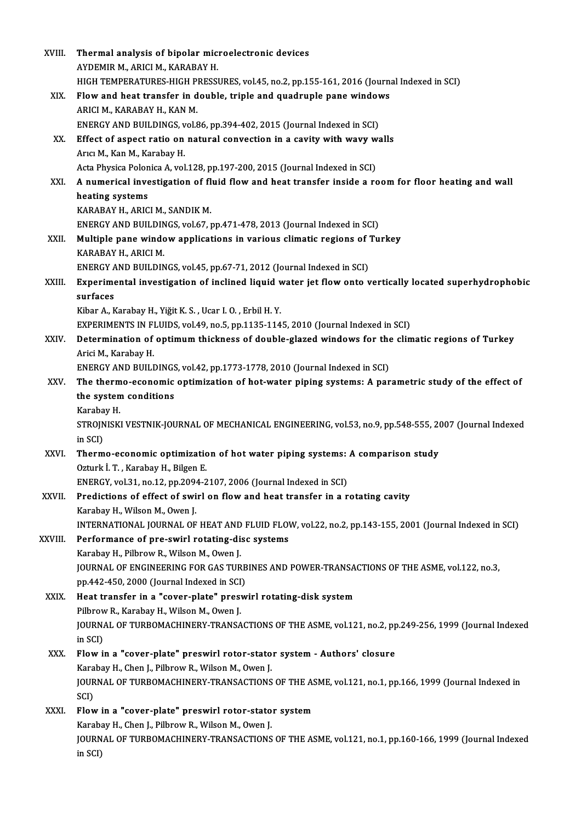| XVIII.  | Thermal analysis of bipolar microelectronic devices                                                                |
|---------|--------------------------------------------------------------------------------------------------------------------|
|         | AYDEMIR M., ARICI M., KARABAY H.                                                                                   |
|         | HIGH TEMPERATURES-HIGH PRESSURES, vol.45, no.2, pp.155-161, 2016 (Journal Indexed in SCI)                          |
| XIX.    | Flow and heat transfer in double, triple and quadruple pane windows                                                |
|         | ARICI M., KARABAY H., KAN M.                                                                                       |
|         | ENERGY AND BUILDINGS, vol.86, pp.394-402, 2015 (Journal Indexed in SCI)                                            |
| XX.     | Effect of aspect ratio on natural convection in a cavity with wavy walls                                           |
|         | Arıcı M., Kan M., Karabay H.                                                                                       |
|         | Acta Physica Polonica A, vol.128, pp.197-200, 2015 (Journal Indexed in SCI)                                        |
| XXI.    | A numerical investigation of fluid flow and heat transfer inside a room for floor heating and wall                 |
|         | heating systems                                                                                                    |
|         | KARABAY H., ARICI M., SANDIK M.                                                                                    |
|         | ENERGY AND BUILDINGS, vol.67, pp.471-478, 2013 (Journal Indexed in SCI)                                            |
| XXII.   | Multiple pane window applications in various climatic regions of Turkey                                            |
|         | KARABAY H., ARICI M.                                                                                               |
|         | ENERGY AND BUILDINGS, vol.45, pp.67-71, 2012 (Journal Indexed in SCI)                                              |
| XXIII.  | Experimental investigation of inclined liquid water jet flow onto vertically located superhydrophobic              |
|         | surfaces                                                                                                           |
|         | Kibar A., Karabay H., Yiğit K. S., Ucar I. O., Erbil H. Y.                                                         |
|         | EXPERIMENTS IN FLUIDS, vol.49, no.5, pp.1135-1145, 2010 (Journal Indexed in SCI)                                   |
| XXIV.   | Determination of optimum thickness of double-glazed windows for the climatic regions of Turkey                     |
|         | Arici M., Karabay H.                                                                                               |
|         | ENERGY AND BUILDINGS, vol.42, pp.1773-1778, 2010 (Journal Indexed in SCI)                                          |
| XXV     | The thermo-economic optimization of hot-water piping systems: A parametric study of the effect of                  |
|         | the system conditions                                                                                              |
|         | Karabay H<br>STROJNISKI VESTNIK-JOURNAL OF MECHANICAL ENGINEERING, vol.53, no.9, pp.548-555, 2007 (Journal Indexed |
|         | in SCI)                                                                                                            |
| XXVI.   | Thermo-economic optimization of hot water piping systems: A comparison study                                       |
|         | Ozturk İ. T., Karabay H., Bilgen E.                                                                                |
|         | ENERGY, vol.31, no.12, pp.2094-2107, 2006 (Journal Indexed in SCI)                                                 |
| XXVII.  | Predictions of effect of swirl on flow and heat transfer in a rotating cavity                                      |
|         | Karabay H., Wilson M., Owen J.                                                                                     |
|         | INTERNATIONAL JOURNAL OF HEAT AND FLUID FLOW, vol.22, no.2, pp.143-155, 2001 (Journal Indexed in SCI)              |
| XXVIII. | Performance of pre-swirl rotating-disc systems                                                                     |
|         | Karabay H., Pilbrow R., Wilson M., Owen J.                                                                         |
|         | JOURNAL OF ENGINEERING FOR GAS TURBINES AND POWER-TRANSACTIONS OF THE ASME, vol.122, no.3,                         |
|         | pp.442-450, 2000 (Journal Indexed in SCI)                                                                          |
| XXIX.   | Heat transfer in a "cover-plate" preswirl rotating-disk system                                                     |
|         | Pilbrow R., Karabay H., Wilson M., Owen J.                                                                         |
|         | JOURNAL OF TURBOMACHINERY-TRANSACTIONS OF THE ASME, vol.121, no.2, pp.249-256, 1999 (Journal Indexed               |
|         | in SCI)                                                                                                            |
| XXX.    | Flow in a "cover-plate" preswirl rotor-stator system - Authors' closure                                            |
|         | Karabay H., Chen J., Pilbrow R., Wilson M., Owen J.                                                                |
|         | JOURNAL OF TURBOMACHINERY-TRANSACTIONS OF THE ASME, vol.121, no.1, pp.166, 1999 (Journal Indexed in                |
|         | SCI)                                                                                                               |
| XXXI.   | Flow in a "cover-plate" preswirl rotor-stator system                                                               |
|         | Karabay H., Chen J., Pilbrow R., Wilson M., Owen J.                                                                |
|         | JOURNAL OF TURBOMACHINERY-TRANSACTIONS OF THE ASME, vol.121, no.1, pp.160-166, 1999 (Journal Indexed               |
|         | in SCI)                                                                                                            |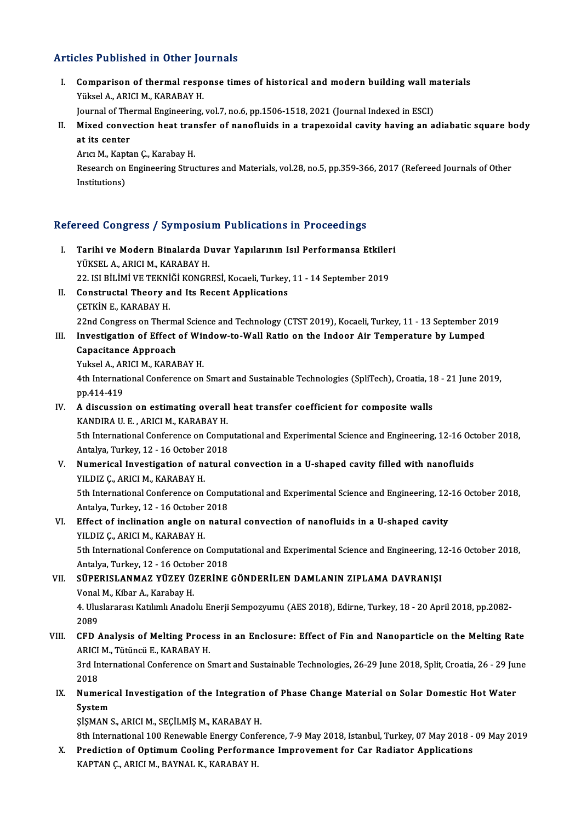### Articles Published in Other Journals

rticles Published in Other Journals<br>I. Comparison of thermal response times of historical and modern building wall materials<br>Wikeel A. ARICLM, KARARAY H Yüksel A., ARICI M., Central responsion of thermal responsion<br>Yüksel A., ARICI M., KARABAY H.<br>Journal of Thermal Engineering Comparison of thermal response times of historical and modern building wall m<br>Yüksel A., ARICI M., KARABAY H.<br>Journal of Thermal Engineering, vol.7, no.6, pp.1506-1518, 2021 (Journal Indexed in ESCI)<br>Mived convection heat

Yüksel A., ARICI M., KARABAY H.<br>Journal of Thermal Engineering, vol.7, no.6, pp.1506-1518, 2021 (Journal Indexed in ESCI)<br>II. Mixed convection heat transfer of nanofluids in a trapezoidal cavity having an adiabatic squar Journal of The<br>Mixed conve<br>at its center<br>Arra M. Konte Mixed convection heat tran<br>at its center<br>Arıcı M., Kaptan Ç., Karabay H.<br>Bassarsh en Engineering Strue

Research on Engineering Structures and Materials, vol.28, no.5, pp.359-366, 2017 (Refereed Journals of Other Institutions) Arıcı M., Kapt<br>Research on<br>Institutions)

# nsututions)<br>Refereed Congress / Symposium Publications in Proceedings

- efereed Congress / Symposium Publications in Proceedings<br>I. Tarihi ve Modern Binalarda Duvar Yapılarının Isıl Performansa Etkileri<br>VÜKSEL A ARICI M. KARARAY H YÖÖR SONGI OSS 7-03 MIPOSID<br>Tarihi ve Modern Binalarda D<br>YÜKSEL A., ARICI M., KARABAY H.<br>22-ISL PİLİMİ VE TEKNİĞİ KONCP Tarihi ve Modern Binalarda Duvar Yapılarının Isıl Performansa Etkiler<br>YÜKSEL A., ARICI M., KARABAY H.<br>22. ISI BİLİMİ VE TEKNİĞİ KONGRESİ, Kocaeli, Turkey, 11 - 14 September 2019<br>Constructal Theory and Its Bosont Annlisatio YÜKSEL A., ARICI M., KARABAY H.<br>22. ISI BİLİMİ VE TEKNİĞİ KONGRESİ, Kocaeli, Turkey,<br>II. Constructal Theory and Its Recent Applications<br>CETVIN E. KARAPAY H
- 22. ISI BİLİMİ VE TEKNİ<br>Constructal Theory a<br>ÇETKİN E., KARABAY H.<br>22nd Congress on Theri CETKİN E., KARABAY H.<br>22nd Congress on Thermal Science and Technology (CTST 2019), Kocaeli, Turkey, 11 - 13 September 2019

## CETKIN E., KARABAY H.<br>22nd Congress on Thermal Science and Technology (CTST 2019), Kocaeli, Turkey, 11 - 13 September 20<br>III. Investigation of Effect of Window-to-Wall Ratio on the Indoor Air Temperature by Lumped<br>Conseita **22nd Congress on Therm:<br>Investigation of Effect<br>Capacitance Approach**<br>Vulgel A. ABICLM, KABAI Investigation of Effect of Wir<br>Capacitance Approach<br>Yuksel A., ARICI M., KARABAY H.<br>4th International Conference on

Capacitance Approach<br>Yuksel A., ARICI M., KARABAY H.<br>4th International Conference on Smart and Sustainable Technologies (SpliTech), Croatia, 18 - 21 June 2019,<br>nn 414 419 Yuksel A., AF<br>4th Internati<br>pp.414-419<br>A discussio 4th International Conference on Smart and Sustainable Technologies (SpliTech), Croatia, 1<br>pp.414-419<br>IV. A discussion on estimating overall heat transfer coefficient for composite walls<br>KANDIBA ILE ABICIM KABARAY H

## pp.414-419<br>IV. A discussion on estimating overall heat transfer coefficient for composite walls<br>KANDIRA U. E., ARICI M., KARABAY H. A discussion on estimating overall heat transfer coefficient for composite walls<br>KANDIRA U. E. , ARICI M., KARABAY H.<br>5th International Conference on Computational and Experimental Science and Engineering, 12-16 October 20

KANDIRA U. E. , ARICI M., KARABAY H.<br>5th International Conference on Comp<br>Antalya, Turkey, 12 - 16 October 2018<br>Numerical Investigation of natural Sth International Conference on Computational and Experimental Science and Engineering, 12-16 Oct<br>Antalya, Turkey, 12 - 16 October 2018<br>V. Numerical Investigation of natural convection in a U-shaped cavity filled with nano

Antalya, Turkey, 12 - 16 October<br>Numerical Investigation of na<br>YILDIZ Ç., ARICI M., KARABAY H.<br>Eth International Conference on Numerical Investigation of natural convection in a U-shaped cavity filled with nanofluids<br>TILDIZ Ç., ARICI M., KARABAY H.<br>5th International Conference on Computational and Experimental Science and Engineering, 12-16 Octobe

YILDIZ Ç., ARICI M., KARABAY H.<br>5th International Conference on Comp<br>Antalya, Turkey, 12 - 16 October 2018<br>Effect of inclination angle on natur 5th International Conference on Computational and Experimental Science and Engineering, 12-<br>Antalya, Turkey, 12 - 16 October 2018<br>VI. Effect of inclination angle on natural convection of nanofluids in a U-shaped cavity<br>VII

## Antalya, Turkey, 12 - 16 October<br>Effect of inclination angle on<br>YILDIZ Ç., ARICI M., KARABAY H.<br>Eth International Conference on Effect of inclination angle on natural convection of nanofluids in a U-shaped cavity<br>YILDIZ Ç., ARICI M., KARABAY H.<br>5th International Conference on Computational and Experimental Science and Engineering, 12-16 October 201

YILDIZ Ç., ARICI M., KARABAY H.<br>5th International Conference on Comp<br>Antalya, Turkey, 12 - 16 October 2018<br>SÜRERISI ANMAZ VÜZEV ÜZERİNE 5th International Conference on Computational and Experimental Science and Engineering, 1<br>Antalya, Turkey, 12 - 16 October 2018<br>VII. SÜPERISLANMAZ YÜZEY ÜZERİNE GÖNDERİLEN DAMLANIN ZIPLAMA DAVRANIŞI<br>Vonal M. Kibar A. Karab

## Antalya, Turkey, 12 - 16 Octob<br>SÜPERISLANMAZ YÜZEY Ü.<br>Vonal M., Kibar A., Karabay H.<br>4. Hluslanares: Katılımlı Anada Vonal M., Kibar A., Karabay H.

4. Uluslararası Katılımlı Anadolu Enerji Sempozyumu (AES 2018), Edirne, Turkey, 18 - 20 April 2018, pp.2082-<br>2089 4. Uluslararası Katılımlı Anadolu Enerji Sempozyumu (AES 2018), Edirne, Turkey, 18 - 20 April 2018, pp.2082-<br>2089<br>VIII. CFD Analysis of Melting Process in an Enclosure: Effect of Fin and Nanoparticle on the Melting Rate<br>AP

## 2089<br>CFD Analysis of Melting Proce<br>ARICI M., Tütüncü E., KARABAY H.<br><sup>2rd International Conference on S</sup> CFD Analysis of Melting Process in an Enclosure: Effect of Fin and Nanoparticle on the Melting Rate<br>ARICI M., Tütüncü E., KARABAY H.<br>3rd International Conference on Smart and Sustainable Technologies, 26-29 June 2018, Spli

ARICI M., Tütüncü E., KARABAY H.<br>3rd International Conference on Smart and Sustainable Technologies, 26-29 June 2018, Split, Croatia, 26 - 29 June<br>2018 3rd International Conference on Smart and Sustainable Technologies, 26-29 June 2018, Split, Croatia, 26 - 29 June 2018<br>IX. Numerical Investigation of the Integration of Phase Change Material on Solar Domestic Hot Water<br>Sys

2018<br>Numeric<br>System<br>sisMAN System<br>ŞİŞMAN S., ARICI M., SEÇİLMİŞ M., KARABAY H.

System<br>ŞİŞMAN S., ARICI M., SEÇİLMİŞ M., KARABAY H.<br>8th International 100 Renewable Energy Conference, 7-9 May 2018, Istanbul, Turkey, 07 May 2018 - 09 May 2019<br>Predistion of Ontimum Cooling Borformanes Improvement for Car

X. Prediction of Optimum Cooling Performance Improvement for Car Radiator Applications<br>KAPTAN C., ARICI M., BAYNAL K., KARABAY H. 8th International 100 Renewable Energy Conf<br><mark>Prediction of Optimum Cooling Performa</mark><br>KAPTAN Ç., ARICI M., BAYNAL K., KARABAY H.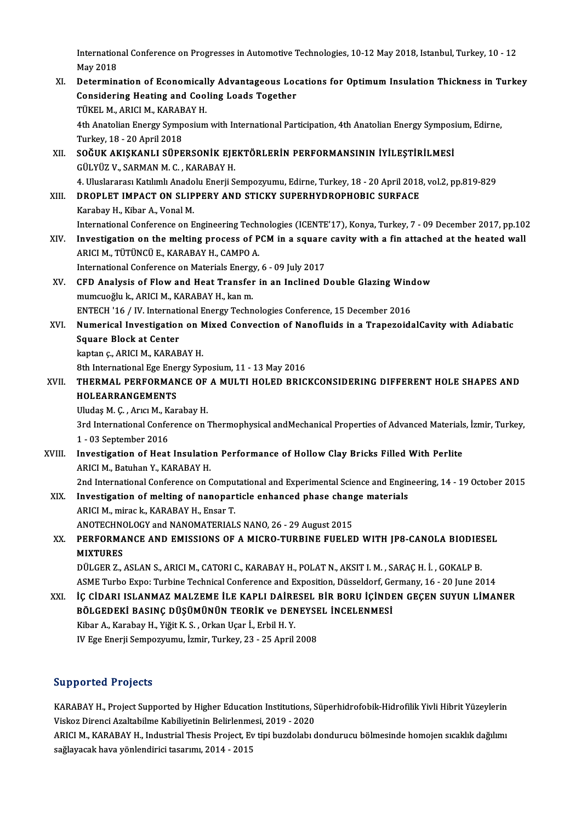International Conference on Progresses in Automotive Technologies, 10-12 May 2018, Istanbul, Turkey, 10 - 12<br>May 2018 Internation<br>May 2018<br>Determin

International Conference on Progresses in Automotive Technologies, 10-12 May 2018, Istanbul, Turkey, 10 - 12<br>May 2018<br>XI. Determination of Economically Advantageous Locations for Optimum Insulation Thickness in Turkey<br>Cons May 2018<br>Determination of Economically Advantageous Loc<br>Considering Heating and Cooling Loads Together<br>TÜKEL M. ARICLM, KARARAY H Determination of Economical<br>Considering Heating and Cool<br>TÜKEL M., ARICI M., KARABAY H.<br>4th Anatolian Energy Symnosium 4th Anatolian Energy Symposium with International Participation, 4th Anatolian Energy Symposium, Edirne,<br>Turkey, 18 - 20 April 2018 TÜKEL M., ARICI M., KARABAY H. 4th Anatolian Energy Symposium with International Participation, 4th Anatolian Energy Symposi<br>Turkey, 18 - 20 April 2018<br>XII. SOĞUK AKIŞKANLI SÜPERSONİK EJEKTÖRLERİN PERFORMANSININ İYİLEŞTİRİLMESİ<br>CÜLYÜZ V. SARMAN M.C. KAR Turkey, 18 - 20 April 2018<br>S<mark>OĞUK AKIŞKANLI SÜPERSONİK EJE</mark><br>GÜLYÜZ V., SARMAN M. C. , KARABAY H.<br>4. Uluslararası Katılımlı Anadalıı Enerii S 50ĞUK AKIŞKANLI SÜPERSONİK EJEKTÖRLERİN PERFORMANSININ İYİLEŞTİRİLMESİ<br>GÜLYÜZ V., SARMAN M. C. , KARABAY H.<br>4. Uluslararası Katılımlı Anadolu Enerji Sempozyumu, Edirne, Turkey, 18 - 20 April 2018, vol.2, pp.819-829<br>DROBLET GÜLYÜZ V., SARMAN M. C. , KARABAY H.<br>4. Uluslararası Katılımlı Anadolu Enerji Sempozyumu, Edirne, Turkey, 18 - 20 April 2018<br>XIII. DROPLET IMPACT ON SLIPPERY AND STICKY SUPERHYDROPHOBIC SURFACE<br>Karabay H. Kibar A. Vanal M. 4. Uluslararası Katılımlı Anado<br>DROPLET IMPACT ON SLIP<br>Karabay H., Kibar A., Vonal M.<br>International Conference on E INTERNATIONAL STICKY SUPERHYDROPHOBIC SURFACE<br>International Conference on Engineering Technologies (ICENTE'17), Konya, Turkey, 7 - 09 December 2017, pp.102<br>International Conference on Engineering Technologies (ICENTE'17), Karabay H., Kibar A., Vonal M.<br>International Conference on Engineering Technologies (ICENTE'17), Konya, Turkey, 7 - 09 December 2017, pp.10<br>APICIM TÜTÜNCÜ E KARARAY H. CAMPO A International Conference on Engineering Tech<br>Investigation on the melting process of P<br>ARICI M., TÜTÜNCÜ E., KARABAY H., CAMPO A.<br>International Conference on Materials Energy. Investigation on the melting process of PCM in a square<br>ARICI M., TÜTÜNCÜ E., KARABAY H., CAMPO A.<br>International Conference on Materials Energy, 6 - 09 July 2017<br>CED Analysis of Flow and Host Transfor in an Inclined P ARICI M., TÜTÜNCÜ E., KARABAY H., CAMPO A.<br>International Conference on Materials Energy, 6 - 09 July 2017<br>XV. CFD Analysis of Flow and Heat Transfer in an Inclined Double Glazing Window mumcuoğlu k., ARICI M., KARABAY H., kan m. CFD Analysis of Flow and Heat Transfer in an Inclined Double Glazing Wind<br>mumcuoğlu k., ARICI M., KARABAY H., kan m.<br>ENTECH '16 / IV. International Energy Technologies Conference, 15 December 2016<br>Numerisel Investigation o mumcuoğlu k., ARICI M., KARABAY H., kan m.<br>ENTECH '16 / IV. International Energy Technologies Conference, 15 December 2016<br>XVI. Numerical Investigation on Mixed Convection of Nanofluids in a TrapezoidalCavity with Adia ENTECH '16 / IV. Internati<br>Numerical Investigation<br>Square Block at Center<br>kantan s. APICI M. KARAP Numerical Investigation on N<br>Square Block at Center<br>kaptan ç., ARICI M., KARABAY H.<br><sup>9th International Foe Energy Syr</sub></sup> Square Block at Center<br>kaptan ç., ARICI M., KARABAY H.<br>8th International Ege Energy Syposium, 11 - 13 May 2016<br>THERMAL REREORMANCE OF A MILLTI HOLED RRIC kaptan ç., ARICI M., KARABAY H.<br>8th International Ege Energy Syposium, 11 - 13 May 2016<br>XVII. THERMAL PERFORMANCE OF A MULTI HOLED BRICKCONSIDERING DIFFERENT HOLE SHAPES AND<br>HOLEARRANCEMENTS 8th International Ege Ener<br>THERMAL PERFORMAN<br>HOLEARRANGEMENTS THERMAL PERFORMANCE OF<br>HOLEARRANGEMENTS<br>Uludaş M. Ç. , Arıcı M., Karabay H.<br><sup>2nd</sup> International Conference on <sup>1</sup> HOLEARRANGEMENTS<br>Uludaş M. Ç. , Arıcı M., Karabay H.<br>3rd International Conference on Thermophysical andMechanical Properties of Advanced Materials, İzmir, Turkey,<br>1 - 03 September 2016 Uludas M. C., Arıcı M., Karabay H. 3rd International Conference on Thermophysical andMechanical Properties of Advanced Materials<br>1 - 03 September 2016<br>XVIII. Investigation of Heat Insulation Performance of Hollow Clay Bricks Filled With Perlite<br>ABICIM Betyb 1 - 03 September 2016<br>Investigation of Heat Insulatio<br>ARICI M., Batuhan Y., KARABAY H.<br>2nd International Conference on G ARICI M., Batuhan Y., KARABAY H.<br>2nd International Conference on Computational and Experimental Science and Engineering, 14 - 19 October 2015 ARICI M., Batuhan Y., KARABAY H.<br>2nd International Conference on Computational and Experimental Science and Enging<br>XIX. Investigation of melting of nanoparticle enhanced phase change materials 2nd International Conference on Compu<br>Investigation of melting of nanopart<br>ARICI M., mirac k., KARABAY H., Ensar T.<br>ANOTECUNOLOCY and NANOMATERIAL Investigation of melting of nanoparticle enhanced phase chang<br>ARICI M., mirac k., KARABAY H., Ensar T.<br>ANOTECHNOLOGY and NANOMATERIALS NANO, 26 - 29 August 2015<br>REREORMANCE AND EMISSIONS OF A MICRO TURRINE FUEL EI ARICI M., mirac k., KARABAY H., Ensar T.<br>ANOTECHNOLOGY and NANOMATERIALS NANO, 26 - 29 August 2015<br>XX. PERFORMANCE AND EMISSIONS OF A MICRO-TURBINE FUELED WITH JP8-CANOLA BIODIESEL<br>MIYTURES ANOTECHN<mark><br>PERFORMA</mark><br>MIXTURES<br>DÜLCEP 7 PERFORMANCE AND EMISSIONS OF A MICRO-TURBINE FUELED WITH JP8-CANOLA BIODIE:<br>MIXTURES<br>DÜLGER Z., ASLAN S., ARICI M., CATORI C., KARABAY H., POLAT N., AKSIT I. M. , SARAÇ H. İ. , GOKALP B.<br>ASME Turba Evro: Turbina Tachnical MIXTURES<br>DÜLGER Z., ASLAN S., ARICI M., CATORI C., KARABAY H., POLAT N., AKSIT I. M. , SARAÇ H. İ. , GOKALP B.<br>ASME Turbo Expo: Turbine Technical Conference and Exposition, Düsseldorf, Germany, 16 - 20 June 2014<br>İC CİDARLI DÜLGER Z., ASLAN S., ARICI M., CATORI C., KARABAY H., POLAT N., AKSIT I. M. , SARAÇ H. İ. , GOKALP B.<br>ASME Turbo Expo: Turbine Technical Conference and Exposition, Düsseldorf, Germany, 16 - 20 June 2014<br>XXI. İÇ CİDARI ISLA ASME Turbo Expo: Turbine Technical Conference and Exposition, Düsseldorf, Ge<br>İÇ CİDARI ISLANMAZ MALZEME İLE KAPLI DAİRESEL BİR BORU İÇİNDI<br>BÖLGEDEKİ BASINÇ DÜŞÜMÜNÜN TEORİK ve DENEYSEL İNCELENMESİ<br>Kibar A. Karabay H. Yiğit KibarA.,KarabayH.,YiğitK.S. ,OrkanUçar İ.,ErbilH.Y. IVEgeEnerjiSempozyumu, İzmir,Turkey,23 -25April2008

### Supported Projects

Supported Projects<br>KARABAY H., Project Supported by Higher Education Institutions, Süperhidrofobik-Hidrofilik Yivli Hibrit Yüzeylerin<br>Viskas Diransi Araktabilme Kabiliyetinin Balirlanmesi, 2019, 2020 URP DI CORT I DJOCES<br>KARABAY H., Project Supported by Higher Education Institutions, S<br>Viskoz Direnci Azaltabilme Kabiliyetinin Belirlenmesi, 2019 - 2020<br>ABICI M. KARABAY H. Industrial Thesis Preject. Eu tini burdelah d KARABAY H., Project Supported by Higher Education Institutions, Süperhidrofobik-Hidrofilik Yivli Hibrit Yüzeylerin<br>Viskoz Direnci Azaltabilme Kabiliyetinin Belirlenmesi, 2019 - 2020<br>ARICI M., KARABAY H., Industrial Thesis

Viskoz Direnci Azaltabilme Kabiliyetinin Belirlenme<br>ARICI M., KARABAY H., Industrial Thesis Project, Ev<br>sağlayacak hava yönlendirici tasarımı, 2014 - 2015